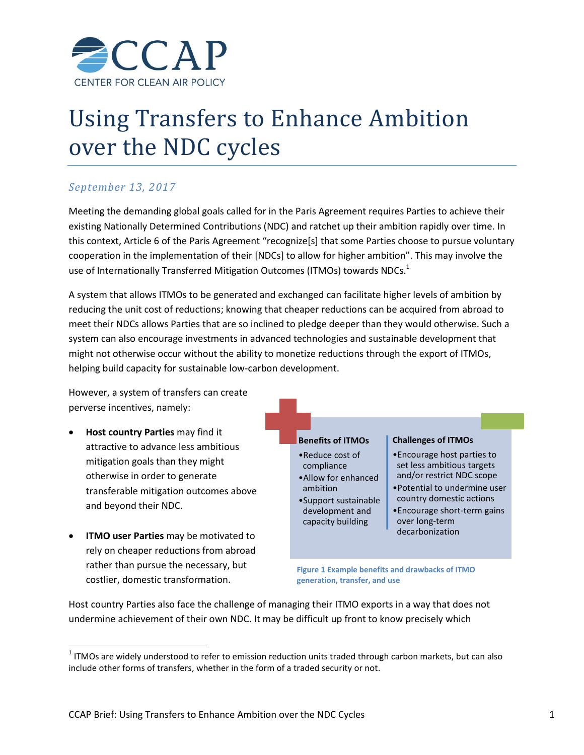

# Using Transfers to Enhance Ambition over the NDC cycles

## *September 13, 2017*

Meeting the demanding global goals called for in the Paris Agreement requires Parties to achieve their existing Nationally Determined Contributions (NDC) and ratchet up their ambition rapidly over time. In this context, Article 6 of the Paris Agreement "recognize[s] that some Parties choose to pursue voluntary cooperation in the implementation of their [NDCs] to allow for higher ambition". This may involve the use of Internationally Transferred Mitigation Outcomes (ITMOs) towards NDCs.<sup>1</sup>

A system that allows ITMOs to be generated and exchanged can facilitate higher levels of ambition by reducing the unit cost of reductions; knowing that cheaper reductions can be acquired from abroad to meet their NDCs allows Parties that are so inclined to pledge deeper than they would otherwise. Such a system can also encourage investments in advanced technologies and sustainable development that might not otherwise occur without the ability to monetize reductions through the export of ITMOs, helping build capacity for sustainable low-carbon development.

However, a system of transfers can create perverse incentives, namely:

- **Host country Parties** may find it attractive to advance less ambitious mitigation goals than they might otherwise in order to generate transferable mitigation outcomes above and beyond their NDC.
- **ITMO user Parties** may be motivated to rely on cheaper reductions from abroad rather than pursue the necessary, but costlier, domestic transformation.

 $\overline{\phantom{a}}$ 



Host country Parties also face the challenge of managing their ITMO exports in a way that does not undermine achievement of their own NDC. It may be difficult up front to know precisely which

 $1$  ITMOs are widely understood to refer to emission reduction units traded through carbon markets, but can also include other forms of transfers, whether in the form of a traded security or not.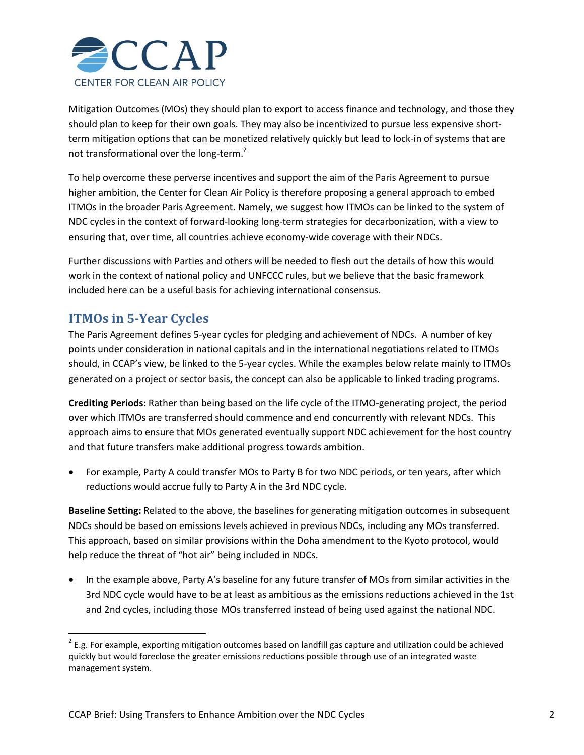

Mitigation Outcomes (MOs) they should plan to export to access finance and technology, and those they should plan to keep for their own goals. They may also be incentivized to pursue less expensive shortterm mitigation options that can be monetized relatively quickly but lead to lock-in of systems that are not transformational over the long-term.<sup>2</sup>

To help overcome these perverse incentives and support the aim of the Paris Agreement to pursue higher ambition, the Center for Clean Air Policy is therefore proposing a general approach to embed ITMOs in the broader Paris Agreement. Namely, we suggest how ITMOs can be linked to the system of NDC cycles in the context of forward-looking long-term strategies for decarbonization, with a view to ensuring that, over time, all countries achieve economy-wide coverage with their NDCs.

Further discussions with Parties and others will be needed to flesh out the details of how this would work in the context of national policy and UNFCCC rules, but we believe that the basic framework included here can be a useful basis for achieving international consensus.

## **ITMOs in 5-Year Cycles**

 $\overline{\phantom{a}}$ 

The Paris Agreement defines 5-year cycles for pledging and achievement of NDCs. A number of key points under consideration in national capitals and in the international negotiations related to ITMOs should, in CCAP's view, be linked to the 5-year cycles. While the examples below relate mainly to ITMOs generated on a project or sector basis, the concept can also be applicable to linked trading programs.

**Crediting Periods**: Rather than being based on the life cycle of the ITMO-generating project, the period over which ITMOs are transferred should commence and end concurrently with relevant NDCs. This approach aims to ensure that MOs generated eventually support NDC achievement for the host country and that future transfers make additional progress towards ambition.

 For example, Party A could transfer MOs to Party B for two NDC periods, or ten years, after which reductions would accrue fully to Party A in the 3rd NDC cycle.

**Baseline Setting:** Related to the above, the baselines for generating mitigation outcomes in subsequent NDCs should be based on emissions levels achieved in previous NDCs, including any MOs transferred. This approach, based on similar provisions within the Doha amendment to the Kyoto protocol, would help reduce the threat of "hot air" being included in NDCs.

• In the example above, Party A's baseline for any future transfer of MOs from similar activities in the 3rd NDC cycle would have to be at least as ambitious as the emissions reductions achieved in the 1st and 2nd cycles, including those MOs transferred instead of being used against the national NDC.

 $2$  E.g. For example, exporting mitigation outcomes based on landfill gas capture and utilization could be achieved quickly but would foreclose the greater emissions reductions possible through use of an integrated waste management system.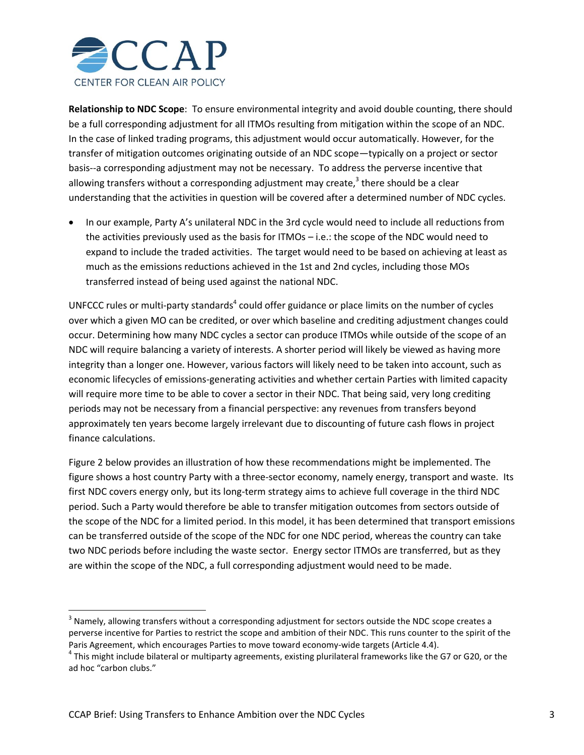

**Relationship to NDC Scope**: To ensure environmental integrity and avoid double counting, there should be a full corresponding adjustment for all ITMOs resulting from mitigation within the scope of an NDC. In the case of linked trading programs, this adjustment would occur automatically. However, for the transfer of mitigation outcomes originating outside of an NDC scope—typically on a project or sector basis--a corresponding adjustment may not be necessary. To address the perverse incentive that allowing transfers without a corresponding adjustment may create,<sup>3</sup> there should be a clear understanding that the activities in question will be covered after a determined number of NDC cycles.

 In our example, Party A's unilateral NDC in the 3rd cycle would need to include all reductions from the activities previously used as the basis for ITMOs – i.e.: the scope of the NDC would need to expand to include the traded activities. The target would need to be based on achieving at least as much as the emissions reductions achieved in the 1st and 2nd cycles, including those MOs transferred instead of being used against the national NDC.

UNFCCC rules or multi-party standards<sup>4</sup> could offer guidance or place limits on the number of cycles over which a given MO can be credited, or over which baseline and crediting adjustment changes could occur. Determining how many NDC cycles a sector can produce ITMOs while outside of the scope of an NDC will require balancing a variety of interests. A shorter period will likely be viewed as having more integrity than a longer one. However, various factors will likely need to be taken into account, such as economic lifecycles of emissions-generating activities and whether certain Parties with limited capacity will require more time to be able to cover a sector in their NDC. That being said, very long crediting periods may not be necessary from a financial perspective: any revenues from transfers beyond approximately ten years become largely irrelevant due to discounting of future cash flows in project finance calculations.

Figure 2 below provides an illustration of how these recommendations might be implemented. The figure shows a host country Party with a three-sector economy, namely energy, transport and waste. Its first NDC covers energy only, but its long-term strategy aims to achieve full coverage in the third NDC period. Such a Party would therefore be able to transfer mitigation outcomes from sectors outside of the scope of the NDC for a limited period. In this model, it has been determined that transport emissions can be transferred outside of the scope of the NDC for one NDC period, whereas the country can take two NDC periods before including the waste sector. Energy sector ITMOs are transferred, but as they are within the scope of the NDC, a full corresponding adjustment would need to be made.

 $\overline{\phantom{a}}$ 

 $^3$  Namely, allowing transfers without a corresponding adjustment for sectors outside the NDC scope creates a perverse incentive for Parties to restrict the scope and ambition of their NDC. This runs counter to the spirit of the Paris Agreement, which encourages Parties to move toward economy-wide targets (Article 4.4).

 $^4$  This might include bilateral or multiparty agreements, existing plurilateral frameworks like the G7 or G20, or the ad hoc "carbon clubs."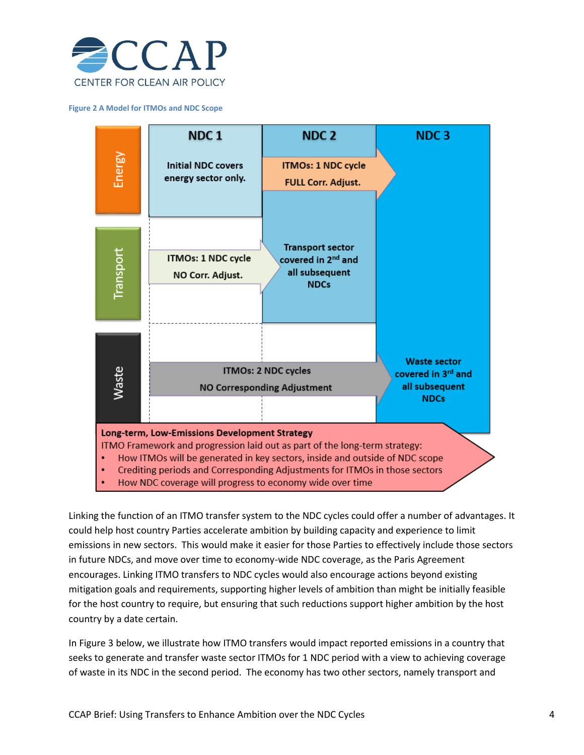

#### **Figure 2 A Model for ITMOs and NDC Scope**



Linking the function of an ITMO transfer system to the NDC cycles could offer a number of advantages. It could help host country Parties accelerate ambition by building capacity and experience to limit emissions in new sectors. This would make it easier for those Parties to effectively include those sectors in future NDCs, and move over time to economy-wide NDC coverage, as the Paris Agreement encourages. Linking ITMO transfers to NDC cycles would also encourage actions beyond existing mitigation goals and requirements, supporting higher levels of ambition than might be initially feasible for the host country to require, but ensuring that such reductions support higher ambition by the host country by a date certain.

In Figure 3 below, we illustrate how ITMO transfers would impact reported emissions in a country that seeks to generate and transfer waste sector ITMOs for 1 NDC period with a view to achieving coverage of waste in its NDC in the second period. The economy has two other sectors, namely transport and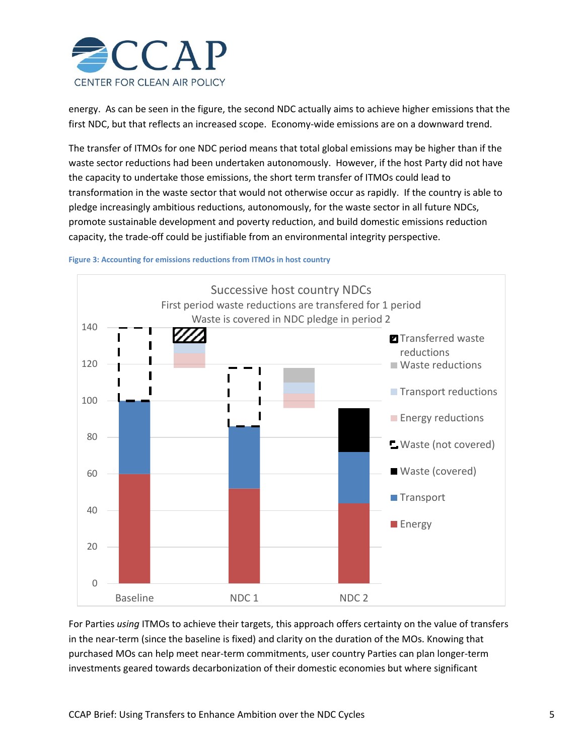

energy. As can be seen in the figure, the second NDC actually aims to achieve higher emissions that the first NDC, but that reflects an increased scope. Economy-wide emissions are on a downward trend.

The transfer of ITMOs for one NDC period means that total global emissions may be higher than if the waste sector reductions had been undertaken autonomously. However, if the host Party did not have the capacity to undertake those emissions, the short term transfer of ITMOs could lead to transformation in the waste sector that would not otherwise occur as rapidly. If the country is able to pledge increasingly ambitious reductions, autonomously, for the waste sector in all future NDCs, promote sustainable development and poverty reduction, and build domestic emissions reduction capacity, the trade-off could be justifiable from an environmental integrity perspective.





For Parties *using* ITMOs to achieve their targets, this approach offers certainty on the value of transfers in the near-term (since the baseline is fixed) and clarity on the duration of the MOs. Knowing that purchased MOs can help meet near-term commitments, user country Parties can plan longer-term investments geared towards decarbonization of their domestic economies but where significant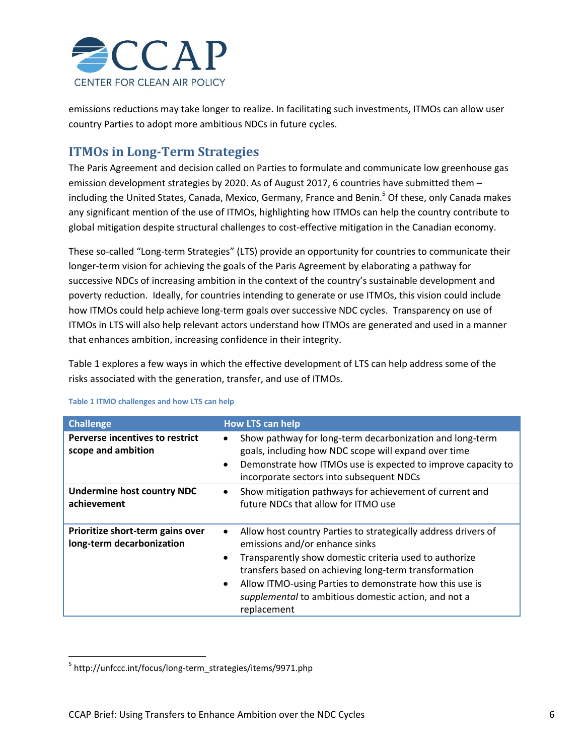

emissions reductions may take longer to realize. In facilitating such investments, ITMOs can allow user country Parties to adopt more ambitious NDCs in future cycles.

## **ITMOs in Long-Term Strategies**

The Paris Agreement and decision called on Parties to formulate and communicate low greenhouse gas emission development strategies by 2020. As of August 2017, 6 countries have submitted them including the United States, Canada, Mexico, Germany, France and Benin. <sup>5</sup> Of these, only Canada makes any significant mention of the use of ITMOs, highlighting how ITMOs can help the country contribute to global mitigation despite structural challenges to cost-effective mitigation in the Canadian economy.

These so-called "Long-term Strategies" (LTS) provide an opportunity for countries to communicate their longer-term vision for achieving the goals of the Paris Agreement by elaborating a pathway for successive NDCs of increasing ambition in the context of the country's sustainable development and poverty reduction. Ideally, for countries intending to generate or use ITMOs, this vision could include how ITMOs could help achieve long-term goals over successive NDC cycles. Transparency on use of ITMOs in LTS will also help relevant actors understand how ITMOs are generated and used in a manner that enhances ambition, increasing confidence in their integrity.

Table 1 explores a few ways in which the effective development of LTS can help address some of the risks associated with the generation, transfer, and use of ITMOs.

| <b>Challenge</b>                                              | <b>How LTS can help</b>                                                                                                                                                                                                                                                                                                                                                      |
|---------------------------------------------------------------|------------------------------------------------------------------------------------------------------------------------------------------------------------------------------------------------------------------------------------------------------------------------------------------------------------------------------------------------------------------------------|
| Perverse incentives to restrict<br>scope and ambition         | Show pathway for long-term decarbonization and long-term<br>٠<br>goals, including how NDC scope will expand over time<br>Demonstrate how ITMOs use is expected to improve capacity to<br>$\bullet$<br>incorporate sectors into subsequent NDCs                                                                                                                               |
| <b>Undermine host country NDC</b><br>achievement              | Show mitigation pathways for achievement of current and<br>$\bullet$<br>future NDCs that allow for ITMO use                                                                                                                                                                                                                                                                  |
| Prioritize short-term gains over<br>long-term decarbonization | Allow host country Parties to strategically address drivers of<br>$\bullet$<br>emissions and/or enhance sinks<br>Transparently show domestic criteria used to authorize<br>٠<br>transfers based on achieving long-term transformation<br>Allow ITMO-using Parties to demonstrate how this use is<br>٠<br>supplemental to ambitious domestic action, and not a<br>replacement |

#### **Table 1 ITMO challenges and how LTS can help**

 $\overline{\phantom{a}}$ 

<sup>&</sup>lt;sup>5</sup> http://unfccc.int/focus/long-term\_strategies/items/9971.php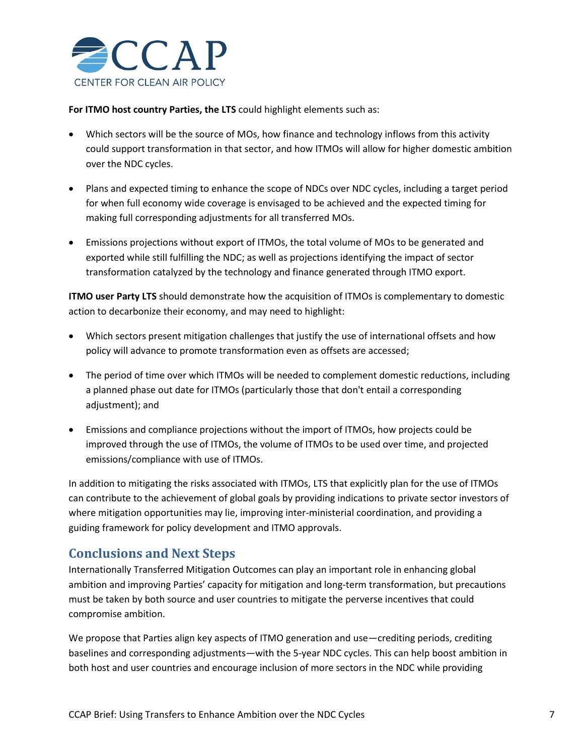

**For ITMO host country Parties, the LTS** could highlight elements such as:

- Which sectors will be the source of MOs, how finance and technology inflows from this activity could support transformation in that sector, and how ITMOs will allow for higher domestic ambition over the NDC cycles.
- Plans and expected timing to enhance the scope of NDCs over NDC cycles, including a target period for when full economy wide coverage is envisaged to be achieved and the expected timing for making full corresponding adjustments for all transferred MOs.
- Emissions projections without export of ITMOs, the total volume of MOs to be generated and exported while still fulfilling the NDC; as well as projections identifying the impact of sector transformation catalyzed by the technology and finance generated through ITMO export.

**ITMO user Party LTS** should demonstrate how the acquisition of ITMOs is complementary to domestic action to decarbonize their economy, and may need to highlight:

- Which sectors present mitigation challenges that justify the use of international offsets and how policy will advance to promote transformation even as offsets are accessed;
- The period of time over which ITMOs will be needed to complement domestic reductions, including a planned phase out date for ITMOs (particularly those that don't entail a corresponding adjustment); and
- Emissions and compliance projections without the import of ITMOs, how projects could be improved through the use of ITMOs, the volume of ITMOs to be used over time, and projected emissions/compliance with use of ITMOs.

In addition to mitigating the risks associated with ITMOs, LTS that explicitly plan for the use of ITMOs can contribute to the achievement of global goals by providing indications to private sector investors of where mitigation opportunities may lie, improving inter-ministerial coordination, and providing a guiding framework for policy development and ITMO approvals.

### **Conclusions and Next Steps**

Internationally Transferred Mitigation Outcomes can play an important role in enhancing global ambition and improving Parties' capacity for mitigation and long-term transformation, but precautions must be taken by both source and user countries to mitigate the perverse incentives that could compromise ambition.

We propose that Parties align key aspects of ITMO generation and use—crediting periods, crediting baselines and corresponding adjustments—with the 5-year NDC cycles. This can help boost ambition in both host and user countries and encourage inclusion of more sectors in the NDC while providing